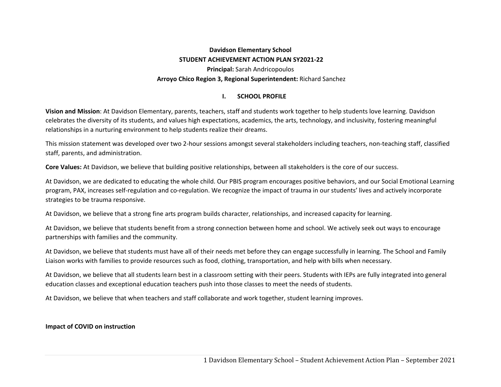# **Davidson Elementary School STUDENT ACHIEVEMENT ACTION PLAN SY2021‐22 Principal:** Sarah Andricopoulos  **Arroyo Chico Region 3, Regional Superintendent:** Richard Sanchez

#### **I.SCHOOL PROFILE**

**Vision and Mission**: At Davidson Elementary, parents, teachers, staff and students work together to help students love learning. Davidson celebrates the diversity of its students, and values high expectations, academics, the arts, technology, and inclusivity, fostering meaningful relationships in a nurturing environment to help students realize their dreams.

This mission statement was developed over two 2‐hour sessions amongst several stakeholders including teachers, non‐teaching staff, classified staff, parents, and administration.

**Core Values:** At Davidson, we believe that building positive relationships, between all stakeholders is the core of our success.

At Davidson, we are dedicated to educating the whole child. Our PBIS program encourages positive behaviors, and our Social Emotional Learning program, PAX, increases self‐regulation and co‐regulation. We recognize the impact of trauma in our students' lives and actively incorporate strategies to be trauma responsive.

At Davidson, we believe that a strong fine arts program builds character, relationships, and increased capacity for learning.

At Davidson, we believe that students benefit from a strong connection between home and school. We actively seek out ways to encourage partnerships with families and the community.

At Davidson, we believe that students must have all of their needs met before they can engage successfully in learning. The School and Family Liaison works with families to provide resources such as food, clothing, transportation, and help with bills when necessary.

At Davidson, we believe that all students learn best in a classroom setting with their peers. Students with IEPs are fully integrated into general education classes and exceptional education teachers push into those classes to meet the needs of students.

At Davidson, we believe that when teachers and staff collaborate and work together, student learning improves.

### **Impact of COVID on instruction**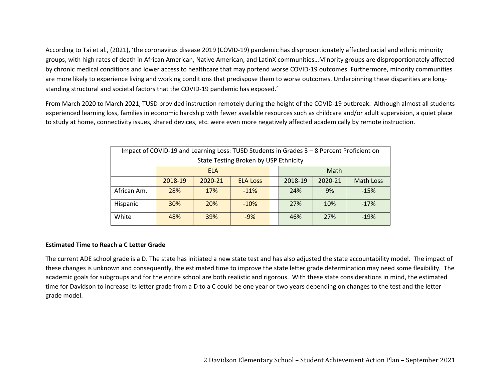According to Tai et al., (2021), 'the coronavirus disease 2019 (COVID‐19) pandemic has disproportionately affected racial and ethnic minority groups, with high rates of death in African American, Native American, and LatinX communities…Minority groups are disproportionately affected by chronic medical conditions and lower access to healthcare that may portend worse COVID‐19 outcomes. Furthermore, minority communities are more likely to experience living and working conditions that predispose them to worse outcomes. Underpinning these disparities are longstanding structural and societal factors that the COVID‐19 pandemic has exposed.'

From March 2020 to March 2021, TUSD provided instruction remotely during the height of the COVID‐19 outbreak. Although almost all students experienced learning loss, families in economic hardship with fewer available resources such as childcare and/or adult supervision, a quiet place to study at home, connectivity issues, shared devices, etc. were even more negatively affected academically by remote instruction.

| Impact of COVID-19 and Learning Loss: TUSD Students in Grades 3 - 8 Percent Proficient on |                                       |         |                 |  |         |         |                  |  |  |
|-------------------------------------------------------------------------------------------|---------------------------------------|---------|-----------------|--|---------|---------|------------------|--|--|
|                                                                                           | State Testing Broken by USP Ethnicity |         |                 |  |         |         |                  |  |  |
|                                                                                           | <b>ELA</b>                            |         |                 |  | Math    |         |                  |  |  |
|                                                                                           | 2018-19                               | 2020-21 | <b>ELA Loss</b> |  | 2018-19 | 2020-21 | <b>Math Loss</b> |  |  |
| African Am.                                                                               | 28%                                   | 17%     | $-11%$          |  | 24%     | 9%      | $-15%$           |  |  |
| Hispanic                                                                                  | 30%                                   | 20%     | $-10%$          |  | 27%     | 10%     | $-17%$           |  |  |
| White                                                                                     | 48%                                   | 39%     | $-9%$           |  | 46%     | 27%     | $-19%$           |  |  |

### **Estimated Time to Reach a C Letter Grade**

The current ADE school grade is a D. The state has initiated a new state test and has also adjusted the state accountability model. The impact of these changes is unknown and consequently, the estimated time to improve the state letter grade determination may need some flexibility. The academic goals for subgroups and for the entire school are both realistic and rigorous. With these state considerations in mind, the estimated time for Davidson to increase its letter grade from a D to a C could be one year or two years depending on changes to the test and the letter grade model.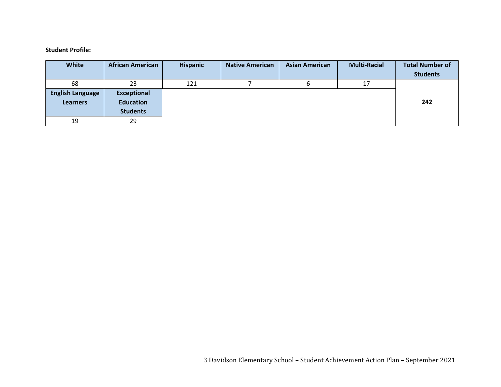#### **Student Profile:**

| White                   | <b>African American</b> | <b>Hispanic</b> | <b>Native American</b> | <b>Asian American</b> | <b>Multi-Racial</b> | <b>Total Number of</b><br><b>Students</b> |
|-------------------------|-------------------------|-----------------|------------------------|-----------------------|---------------------|-------------------------------------------|
| 68                      | 23                      | 121             |                        |                       | 17                  |                                           |
| <b>English Language</b> | <b>Exceptional</b>      |                 |                        |                       |                     |                                           |
| <b>Learners</b>         | <b>Education</b>        |                 |                        |                       |                     | 242                                       |
|                         | <b>Students</b>         |                 |                        |                       |                     |                                           |
| 19                      | 29                      |                 |                        |                       |                     |                                           |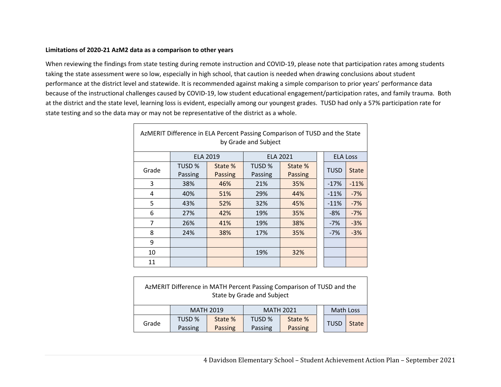### **Limitations of 2020‐21 AzM2 data as a comparison to other years**

 $\Gamma$ 

When reviewing the findings from state testing during remote instruction and COVID‐19, please note that participation rates among students taking the state assessment were so low, especially in high school, that caution is needed when drawing conclusions about student performance at the district level and statewide. It is recommended against making a simple comparison to prior years' performance data because of the instructional challenges caused by COVID‐19, low student educational engagement/participation rates, and family trauma. Both at the district and the state level, learning loss is evident, especially among our youngest grades. TUSD had only a 57% participation rate for state testing and so the data may or may not be representative of the district as a whole.

| AzMERIT Difference in ELA Percent Passing Comparison of TUSD and the State<br>by Grade and Subject |         |                 |         |                 |  |                 |              |  |  |
|----------------------------------------------------------------------------------------------------|---------|-----------------|---------|-----------------|--|-----------------|--------------|--|--|
|                                                                                                    |         | <b>ELA 2019</b> |         | <b>ELA 2021</b> |  | <b>ELA Loss</b> |              |  |  |
| Grade                                                                                              | TUSD %  | State %         | TUSD %  | State %         |  | <b>TUSD</b>     | <b>State</b> |  |  |
|                                                                                                    | Passing | Passing         | Passing | <b>Passing</b>  |  |                 |              |  |  |
| 3                                                                                                  | 38%     | 46%             | 21%     | 35%             |  | $-17%$          | $-11%$       |  |  |
| 4                                                                                                  | 40%     | 51%             | 29%     | 44%             |  | $-11%$          | $-7%$        |  |  |
| 5                                                                                                  | 43%     | 52%             | 32%     | 45%             |  | $-11%$          | $-7%$        |  |  |
| 6                                                                                                  | 27%     | 42%             | 19%     | 35%             |  | $-8%$           | $-7%$        |  |  |
| $\overline{7}$                                                                                     | 26%     | 41%             | 19%     | 38%             |  | $-7%$           | $-3%$        |  |  |
| 8                                                                                                  | 24%     | 38%             | 17%     | 35%             |  | $-7%$           | $-3%$        |  |  |
| 9                                                                                                  |         |                 |         |                 |  |                 |              |  |  |
| 10                                                                                                 |         |                 | 19%     | 32%             |  |                 |              |  |  |
| 11                                                                                                 |         |                 |         |                 |  |                 |              |  |  |

| AzMERIT Difference in MATH Percent Passing Comparison of TUSD and the<br>State by Grade and Subject |         |                  |                  |         |  |             |              |  |
|-----------------------------------------------------------------------------------------------------|---------|------------------|------------------|---------|--|-------------|--------------|--|
|                                                                                                     |         | <b>MATH 2019</b> | <b>MATH 2021</b> |         |  | Math Loss   |              |  |
| Grade                                                                                               | TUSD %  | State %          | TUSD %           | State % |  | <b>TUSD</b> | <b>State</b> |  |
|                                                                                                     | Passing | Passing          | Passing          | Passing |  |             |              |  |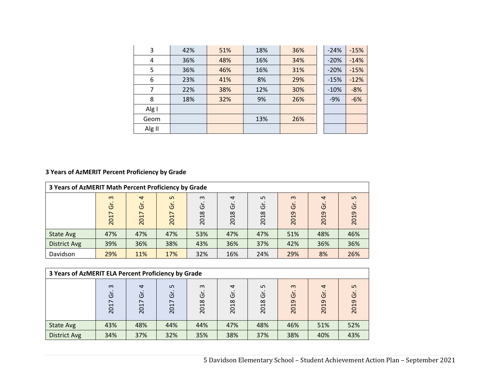| 3      | 42% | 51% | 18% | 36% | $-24%$ | $-15%$ |
|--------|-----|-----|-----|-----|--------|--------|
| 4      | 36% | 48% | 16% | 34% | $-20%$ | $-14%$ |
| 5      | 36% | 46% | 16% | 31% | $-20%$ | $-15%$ |
| 6      | 23% | 41% | 8%  | 29% | $-15%$ | $-12%$ |
| 7      | 22% | 38% | 12% | 30% | $-10%$ | $-8%$  |
| 8      | 18% | 32% | 9%  | 26% | $-9%$  | $-6%$  |
| Alg I  |     |     |     |     |        |        |
| Geom   |     |     | 13% | 26% |        |        |
| Alg II |     |     |     |     |        |        |

# **3 Years of AzMERIT Percent Proficiency by Grade**

| 3 Years of AzMERIT Math Percent Proficiency by Grade |                                                  |                             |                                           |                       |                                        |                 |                             |                             |                  |
|------------------------------------------------------|--------------------------------------------------|-----------------------------|-------------------------------------------|-----------------------|----------------------------------------|-----------------|-----------------------------|-----------------------------|------------------|
|                                                      | $\infty$<br>Ğ<br>$\overline{\phantom{0}}$<br>201 | $\overline{a}$<br>Ğ<br>2017 | ഗ<br>Ğ<br>$\overline{\phantom{0}}$<br>201 | $\omega$<br>ά<br>2018 | $\overline{a}$<br>O<br>$\infty$<br>201 | Ln<br>Ğ<br>2018 | $\omega$<br>$\circ$<br>2019 | $\overline{a}$<br>Ğ<br>2019 | LO.<br>Ğ<br>2019 |
| State Avg                                            | 47%                                              | 47%                         | 47%                                       | 53%                   | 47%                                    | 47%             | 51%                         | 48%                         | 46%              |
| <b>District Avg</b>                                  | 39%                                              | 36%                         | 38%                                       | 43%                   | 36%                                    | 37%             | 42%                         | 36%                         | 36%              |
| Davidson                                             | 29%                                              | 11%                         | 17%                                       | 32%                   | 16%                                    | 24%             | 29%                         | 8%                          | 26%              |

| 3 Years of AzMERIT ELA Percent Proficiency by Grade |                                                        |                             |                                           |                       |                             |                 |                       |                                  |                              |
|-----------------------------------------------------|--------------------------------------------------------|-----------------------------|-------------------------------------------|-----------------------|-----------------------------|-----------------|-----------------------|----------------------------------|------------------------------|
|                                                     | $\infty$<br>$\circ$<br>$\overline{\phantom{1}}$<br>201 | $\overline{ }$<br>Ğ<br>2017 | ഗ<br>Ο<br>$\overline{\phantom{1}}$<br>201 | $\omega$<br>Ğ<br>2018 | $\overline{a}$<br>ত<br>2018 | Ln<br>Ğ<br>2018 | $\infty$<br>Ğ<br>2019 | $\overline{a}$<br>$\cup$<br>2019 | Ln<br>$\overline{5}$<br>2019 |
| State Avg                                           | 43%                                                    | 48%                         | 44%                                       | 44%                   | 47%                         | 48%             | 46%                   | 51%                              | 52%                          |
| <b>District Avg</b>                                 | 34%                                                    | 37%                         | 32%                                       | 35%                   | 38%                         | 37%             | 38%                   | 40%                              | 43%                          |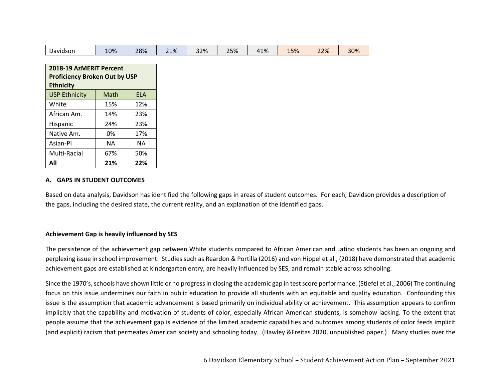| Davidson                             | 10%       | 28%        | 21% | 32% | 25% | 41% | 15% | 22% | 30% |
|--------------------------------------|-----------|------------|-----|-----|-----|-----|-----|-----|-----|
|                                      |           |            |     |     |     |     |     |     |     |
| 2018-19 AzMERIT Percent              |           |            |     |     |     |     |     |     |     |
| <b>Proficiency Broken Out by USP</b> |           |            |     |     |     |     |     |     |     |
| <b>Ethnicity</b>                     |           |            |     |     |     |     |     |     |     |
| <b>USP Ethnicity</b>                 | Math      | <b>ELA</b> |     |     |     |     |     |     |     |
| White                                | 15%       | 12%        |     |     |     |     |     |     |     |
| African Am.                          | 14%       | 23%        |     |     |     |     |     |     |     |
| Hispanic                             | 24%       | 23%        |     |     |     |     |     |     |     |
| Native Am.                           | 0%        | 17%        |     |     |     |     |     |     |     |
| Asian-Pl                             | <b>NA</b> | <b>NA</b>  |     |     |     |     |     |     |     |
| Multi-Racial                         | 67%       | 50%        |     |     |     |     |     |     |     |
| All                                  | 21%       | 22%        |     |     |     |     |     |     |     |

### **A. GAPS IN STUDENT OUTCOMES**

Based on data analysis, Davidson has identified the following gaps in areas of student outcomes. For each, Davidson provides a description of the gaps, including the desired state, the current reality, and an explanation of the identified gaps.

### **Achievement Gap is heavily influenced by SES**

The persistence of the achievement gap between White students compared to African American and Latino students has been an ongoing and perplexing issue in school improvement. Studies such as Reardon & Portilla (2016) and von Hippel et al., (2018) have demonstrated that academic achievement gaps are established at kindergarten entry, are heavily influenced by SES, and remain stable across schooling.

Since the 1970's, schools have shown little or no progress in closing the academic gap in test score performance. (Stiefel et al., 2006) The continuing focus on this issue undermines our faith in public education to provide all students with an equitable and quality education. Confounding this issue is the assumption that academic advancement is based primarily on individual ability or achievement. This assumption appears to confirm implicitly that the capability and motivation of students of color, especially African American students, is somehow lacking. To the extent that people assume that the achievement gap is evidence of the limited academic capabilities and outcomes among students of color feeds implicit (and explicit) racism that permeates American society and schooling today. (Hawley &Freitas 2020, unpublished paper.) Many studies over the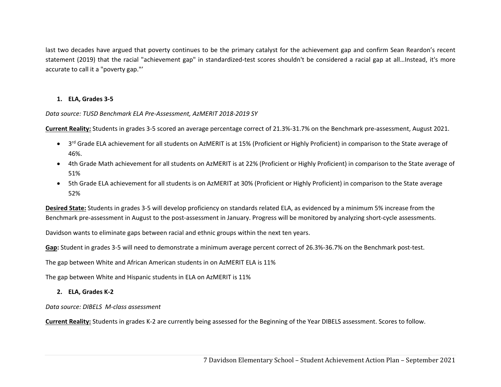last two decades have argued that poverty continues to be the primary catalyst for the achievement gap and confirm Sean Reardon's recent statement (2019) that the racial "achievement gap" in standardized‐test scores shouldn't be considered a racial gap at all…Instead, it's more accurate to call it a "poverty gap."'

# **1. ELA, Grades 3‐5**

### *Data source: TUSD Benchmark ELA Pre‐Assessment, AzMERIT 2018‐2019 SY*

**Current Reality:** Students in grades 3‐5 scored an average percentage correct of 21.3%‐31.7% on the Benchmark pre‐assessment, August 2021.

- 3<sup>rd</sup> Grade ELA achievement for all students on AzMERIT is at 15% (Proficient or Highly Proficient) in comparison to the State average of 46%.
- 4th Grade Math achievement for all students on AzMERIT is at 22% (Proficient or Highly Proficient) in comparison to the State average of 51%
- 5th Grade ELA achievement for all students is on AzMERIT at 30% (Proficient or Highly Proficient) in comparison to the State average 52%

**Desired State:** Students in grades 3‐5 will develop proficiency on standards related ELA, as evidenced by a minimum 5% increase from the Benchmark pre-assessment in August to the post-assessment in January. Progress will be monitored by analyzing short-cycle assessments.

Davidson wants to eliminate gaps between racial and ethnic groups within the next ten years.

Gap: Student in grades 3-5 will need to demonstrate a minimum average percent correct of 26.3%-36.7% on the Benchmark post-test.

The gap between White and African American students in on AzMERIT ELA is 11%

The gap between White and Hispanic students in ELA on AzMERIT is 11%

**2. ELA, Grades K‐2** 

*Data source: DIBELS M‐class assessment* 

**Current Reality:** Students in grades K‐2 are currently being assessed for the Beginning of the Year DIBELS assessment. Scores to follow.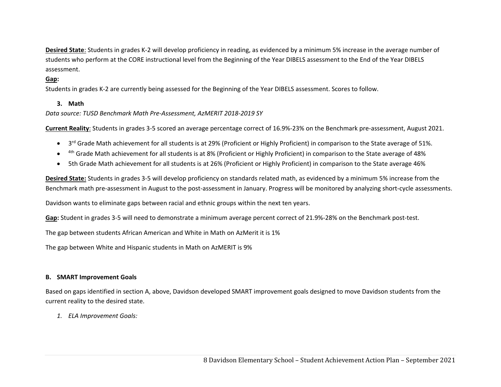**Desired State**: Students in grades K‐2 will develop proficiency in reading, as evidenced by a minimum 5% increase in the average number of students who perform at the CORE instructional level from the Beginning of the Year DIBELS assessment to the End of the Year DIBELS assessment.

# Gap:

Students in grades K‐2 are currently being assessed for the Beginning of the Year DIBELS assessment. Scores to follow.

### **3. Math**

*Data source: TUSD Benchmark Math Pre‐Assessment, AzMERIT 2018‐2019 SY* 

**Current Reality**: Students in grades 3‐5 scored an average percentage correct of 16.9%‐23% on the Benchmark pre‐assessment, August 2021.

- $\bullet$  3<sup>rd</sup> Grade Math achievement for all students is at 29% (Proficient or Highly Proficient) in comparison to the State average of 51%.
- $\bullet$ <sup>4th</sup> Grade Math achievement for all students is at 8% (Proficient or Highly Proficient) in comparison to the State average of 48%
- $\bullet$ 5th Grade Math achievement for all students is at 26% (Proficient or Highly Proficient) in comparison to the State average 46%

**Desired State:** Students in grades 3‐5 will develop proficiency on standards related math, as evidenced by a minimum 5% increase from the Benchmark math pre‐assessment in August to the post‐assessment in January. Progress will be monitored by analyzing short‐cycle assessments.

Davidson wants to eliminate gaps between racial and ethnic groups within the next ten years.

**Gap:** Student in grades 3‐5 will need to demonstrate a minimum average percent correct of 21.9%‐28% on the Benchmark post‐test.

The gap between students African American and White in Math on AzMerit it is 1%

The gap between White and Hispanic students in Math on AzMERIT is 9%

### **B. SMART Improvement Goals**

Based on gaps identified in section A, above, Davidson developed SMART improvement goals designed to move Davidson students from the current reality to the desired state.

*1. ELA Improvement Goals:*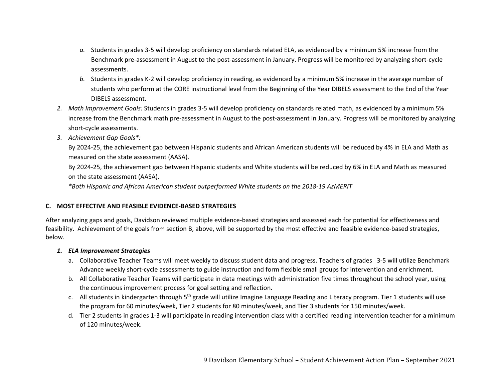- *a.* Students in grades 3‐5 will develop proficiency on standards related ELA, as evidenced by a minimum 5% increase from the Benchmark pre‐assessment in August to the post‐assessment in January. Progress will be monitored by analyzing short‐cycle assessments.
- *b.* Students in grades K‐2 will develop proficiency in reading, as evidenced by a minimum 5% increase in the average number of students who perform at the CORE instructional level from the Beginning of the Year DIBELS assessment to the End of the Year DIBELS assessment.
- *2. Math Improvement Goals:* Students in grades 3‐5 will develop proficiency on standards related math, as evidenced by a minimum 5% increase from the Benchmark math pre‐assessment in August to the post‐assessment in January. Progress will be monitored by analyzing short‐cycle assessments.
- *3. Achievement Gap Goals\*:*

By 2024‐25, the achievement gap between Hispanic students and African American students will be reduced by 4% in ELA and Math as measured on the state assessment (AASA).

By 2024‐25, the achievement gap between Hispanic students and White students will be reduced by 6% in ELA and Math as measured on the state assessment (AASA).

*\*Both Hispanic and African American student outperformed White students on the 2018‐19 AzMERIT* 

# **C. MOST EFFECTIVE AND FEASIBLE EVIDENCE‐BASED STRATEGIES**

After analyzing gaps and goals, Davidson reviewed multiple evidence‐based strategies and assessed each for potential for effectiveness and feasibility. Achievement of the goals from section B, above, will be supported by the most effective and feasible evidence‐based strategies, below.

# *1. ELA Improvement Strategies*

- a. Collaborative Teacher Teams will meet weekly to discuss student data and progress. Teachers of grades 3‐5 will utilize Benchmark Advance weekly short‐cycle assessments to guide instruction and form flexible small groups for intervention and enrichment.
- b. All Collaborative Teacher Teams will participate in data meetings with administration five times throughout the school year, using the continuous improvement process for goal setting and reflection.
- c. All students in kindergarten through 5<sup>th</sup> grade will utilize Imagine Language Reading and Literacy program. Tier 1 students will use the program for 60 minutes/week, Tier 2 students for 80 minutes/week, and Tier 3 students for 150 minutes/week.
- d. Tier 2 students in grades 1‐3 will participate in reading intervention class with a certified reading intervention teacher for a minimum of 120 minutes/week.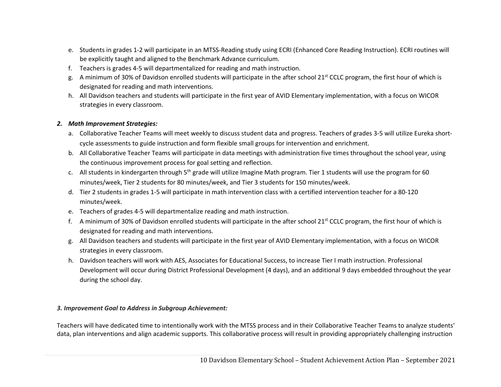- e. Students in grades 1‐2 will participate in an MTSS‐Reading study using ECRI (Enhanced Core Reading Instruction). ECRI routines will be explicitly taught and aligned to the Benchmark Advance curriculum.
- f. Teachers is grades 4‐5 will departmentalized for reading and math instruction.
- g. A minimum of 30% of Davidson enrolled students will participate in the after school 21<sup>st</sup> CCLC program, the first hour of which is designated for reading and math interventions.
- h. All Davidson teachers and students will participate in the first year of AVID Elementary implementation, with a focus on WICOR strategies in every classroom.

### *2. Math Improvement Strategies:*

- a. Collaborative Teacher Teams will meet weekly to discuss student data and progress. Teachers of grades 3‐5 will utilize Eureka short‐ cycle assessments to guide instruction and form flexible small groups for intervention and enrichment.
- b. All Collaborative Teacher Teams will participate in data meetings with administration five times throughout the school year, using the continuous improvement process for goal setting and reflection.
- c. All students in kindergarten through 5<sup>th</sup> grade will utilize Imagine Math program. Tier 1 students will use the program for 60 minutes/week, Tier 2 students for 80 minutes/week, and Tier 3 students for 150 minutes/week.
- d. Tier 2 students in grades 1‐5 will participate in math intervention class with a certified intervention teacher for a 80‐120 minutes/week.
- e. Teachers of grades 4‐5 will departmentalize reading and math instruction.
- f. A minimum of 30% of Davidson enrolled students will participate in the after school 21<sup>st</sup> CCLC program, the first hour of which is designated for reading and math interventions.
- g. All Davidson teachers and students will participate in the first year of AVID Elementary implementation, with a focus on WICOR strategies in every classroom.
- h. Davidson teachers will work with AES, Associates for Educational Success, to increase Tier I math instruction. Professional Development will occur during District Professional Development (4 days), and an additional 9 days embedded throughout the year during the school day.

### *3. Improvement Goal to Address in Subgroup Achievement:*

Teachers will have dedicated time to intentionally work with the MTSS process and in their Collaborative Teacher Teams to analyze students' data, plan interventions and align academic supports. This collaborative process will result in providing appropriately challenging instruction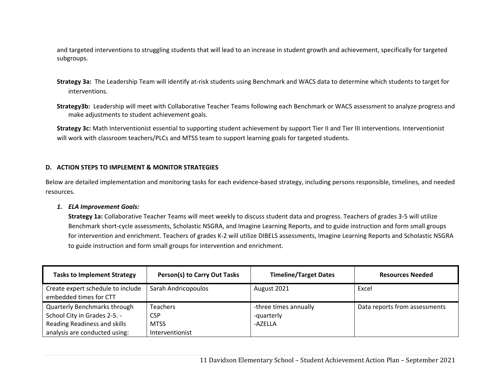and targeted interventions to struggling students that will lead to an increase in student growth and achievement, specifically for targeted subgroups.

- **Strategy 3a:** The Leadership Team will identify at‐risk students using Benchmark and WACS data to determine which students to target for interventions.
- **Strategy3b:** Leadership will meet with Collaborative Teacher Teams following each Benchmark or WACS assessment to analyze progress and make adjustments to student achievement goals.

**Strategy 3c:** Math Interventionist essential to supporting student achievement by support Tier II and Tier III interventions. Interventionist will work with classroom teachers/PLCs and MTSS team to support learning goals for targeted students.

### **D. ACTION STEPS TO IMPLEMENT & MONITOR STRATEGIES**

Below are detailed implementation and monitoring tasks for each evidence‐based strategy, including persons responsible, timelines, and needed resources.

### *1. ELA Improvement Goals:*

**Strategy 1a:** Collaborative Teacher Teams will meet weekly to discuss student data and progress. Teachers of grades 3‐5 will utilize Benchmark short‐cycle assessments, Scholastic NSGRA, and Imagine Learning Reports, and to guide instruction and form small groups for intervention and enrichment. Teachers of grades K‐2 will utilize DIBELS assessments, Imagine Learning Reports and Scholastic NSGRA to guide instruction and form small groups for intervention and enrichment.

| <b>Tasks to Implement Strategy</b>                            | Person(s) to Carry Out Tasks   | <b>Timeline/Target Dates</b>        | <b>Resources Needed</b>       |
|---------------------------------------------------------------|--------------------------------|-------------------------------------|-------------------------------|
| Create expert schedule to include<br>embedded times for CTT   | Sarah Andricopoulos            | August 2021                         | Excel                         |
| Quarterly Benchmarks through<br>School City in Grades 2-5. -  | Teachers<br>CSP                | -three times annually<br>-quarterly | Data reports from assessments |
| Reading Readiness and skills<br>analysis are conducted using: | <b>MTSS</b><br>Interventionist | -AZELLA                             |                               |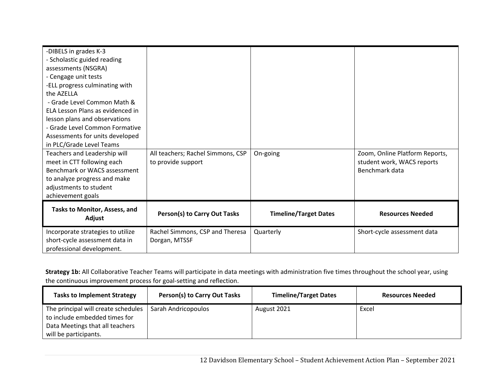| -DIBELS in grades K-3<br>- Scholastic guided reading<br>assessments (NSGRA)<br>- Cengage unit tests<br>-ELL progress culminating with<br>the AZELLA<br>- Grade Level Common Math &<br>ELA Lesson Plans as evidenced in<br>lesson plans and observations<br>- Grade Level Common Formative<br>Assessments for units developed<br>in PLC/Grade Level Teams<br>Teachers and Leadership will<br>meet in CTT following each<br>Benchmark or WACS assessment<br>to analyze progress and make<br>adjustments to student | All teachers; Rachel Simmons, CSP<br>to provide support | On-going                     | Zoom, Online Platform Reports,<br>student work, WACS reports<br>Benchmark data |
|------------------------------------------------------------------------------------------------------------------------------------------------------------------------------------------------------------------------------------------------------------------------------------------------------------------------------------------------------------------------------------------------------------------------------------------------------------------------------------------------------------------|---------------------------------------------------------|------------------------------|--------------------------------------------------------------------------------|
| achievement goals                                                                                                                                                                                                                                                                                                                                                                                                                                                                                                |                                                         |                              |                                                                                |
| Tasks to Monitor, Assess, and<br>Adjust                                                                                                                                                                                                                                                                                                                                                                                                                                                                          | Person(s) to Carry Out Tasks                            | <b>Timeline/Target Dates</b> | <b>Resources Needed</b>                                                        |
| Incorporate strategies to utilize<br>short-cycle assessment data in<br>professional development.                                                                                                                                                                                                                                                                                                                                                                                                                 | Rachel Simmons, CSP and Theresa<br>Dorgan, MTSSF        | Quarterly                    | Short-cycle assessment data                                                    |

**Strategy 1b:** All Collaborative Teacher Teams will participate in data meetings with administration five times throughout the school year, using the continuous improvement process for goal‐setting and reflection.

| <b>Tasks to Implement Strategy</b>                                                                                               | Person(s) to Carry Out Tasks | <b>Timeline/Target Dates</b> | <b>Resources Needed</b> |
|----------------------------------------------------------------------------------------------------------------------------------|------------------------------|------------------------------|-------------------------|
| The principal will create schedules<br>to include embedded times for<br>Data Meetings that all teachers<br>will be participants. | Sarah Andricopoulos          | August 2021                  | Excel                   |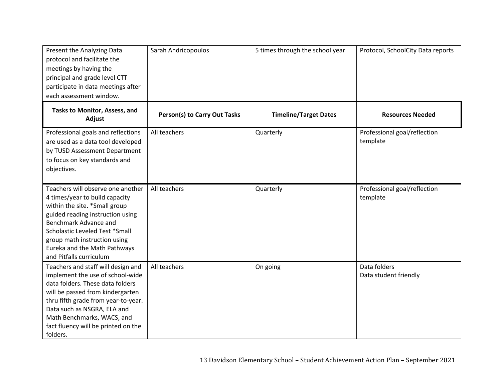| Present the Analyzing Data<br>protocol and facilitate the<br>meetings by having the<br>principal and grade level CTT<br>participate in data meetings after<br>each assessment window.                                                                                                                 | Sarah Andricopoulos                 | 5 times through the school year | Protocol, SchoolCity Data reports        |
|-------------------------------------------------------------------------------------------------------------------------------------------------------------------------------------------------------------------------------------------------------------------------------------------------------|-------------------------------------|---------------------------------|------------------------------------------|
| Tasks to Monitor, Assess, and<br>Adjust                                                                                                                                                                                                                                                               | <b>Person(s) to Carry Out Tasks</b> | <b>Timeline/Target Dates</b>    | <b>Resources Needed</b>                  |
| Professional goals and reflections<br>are used as a data tool developed<br>by TUSD Assessment Department<br>to focus on key standards and<br>objectives.                                                                                                                                              | All teachers                        | Quarterly                       | Professional goal/reflection<br>template |
| Teachers will observe one another<br>4 times/year to build capacity<br>within the site. *Small group<br>guided reading instruction using<br>Benchmark Advance and<br>Scholastic Leveled Test *Small<br>group math instruction using<br>Eureka and the Math Pathways<br>and Pitfalls curriculum        | All teachers                        | Quarterly                       | Professional goal/reflection<br>template |
| Teachers and staff will design and<br>implement the use of school-wide<br>data folders. These data folders<br>will be passed from kindergarten<br>thru fifth grade from year-to-year.<br>Data such as NSGRA, ELA and<br>Math Benchmarks, WACS, and<br>fact fluency will be printed on the<br>folders. | All teachers                        | On going                        | Data folders<br>Data student friendly    |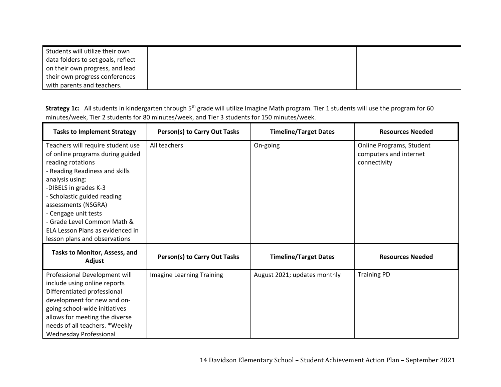| Students will utilize their own    |  |  |
|------------------------------------|--|--|
| data folders to set goals, reflect |  |  |
| on their own progress, and lead    |  |  |
| their own progress conferences     |  |  |
| with parents and teachers.         |  |  |

Strategy 1c: All students in kindergarten through 5<sup>th</sup> grade will utilize Imagine Math program. Tier 1 students will use the program for 60 minutes/week, Tier 2 students for 80 minutes/week, and Tier 3 students for 150 minutes/week.

| <b>Tasks to Implement Strategy</b>                                                                                                                                                                                                                                                                                                                         | <b>Person(s) to Carry Out Tasks</b> | <b>Timeline/Target Dates</b> | <b>Resources Needed</b>                                            |
|------------------------------------------------------------------------------------------------------------------------------------------------------------------------------------------------------------------------------------------------------------------------------------------------------------------------------------------------------------|-------------------------------------|------------------------------|--------------------------------------------------------------------|
| Teachers will require student use<br>of online programs during guided<br>reading rotations<br>- Reading Readiness and skills<br>analysis using:<br>-DIBELS in grades K-3<br>- Scholastic guided reading<br>assessments (NSGRA)<br>- Cengage unit tests<br>- Grade Level Common Math &<br>ELA Lesson Plans as evidenced in<br>lesson plans and observations | All teachers                        | On-going                     | Online Programs, Student<br>computers and internet<br>connectivity |
| Tasks to Monitor, Assess, and<br>Adjust                                                                                                                                                                                                                                                                                                                    | <b>Person(s) to Carry Out Tasks</b> | <b>Timeline/Target Dates</b> | <b>Resources Needed</b>                                            |
| Professional Development will<br>include using online reports<br>Differentiated professional<br>development for new and on-<br>going school-wide initiatives<br>allows for meeting the diverse<br>needs of all teachers. *Weekly<br><b>Wednesday Professional</b>                                                                                          | <b>Imagine Learning Training</b>    | August 2021; updates monthly | <b>Training PD</b>                                                 |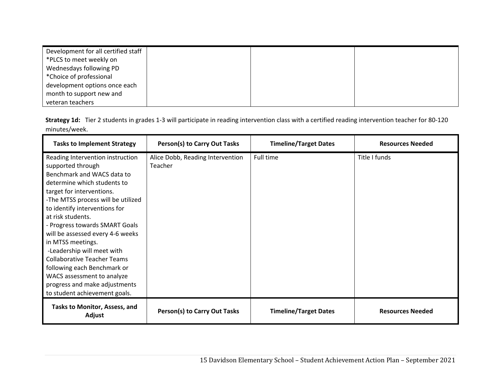| Development for all certified staff |  |  |
|-------------------------------------|--|--|
| *PLCS to meet weekly on             |  |  |
| Wednesdays following PD             |  |  |
| *Choice of professional             |  |  |
| development options once each       |  |  |
| month to support new and            |  |  |
| veteran teachers                    |  |  |

|               | Strategy 1d: Tier 2 students in grades 1-3 will participate in reading intervention class with a certified reading intervention teacher for 80-120 |
|---------------|----------------------------------------------------------------------------------------------------------------------------------------------------|
| minutes/week. |                                                                                                                                                    |

| <b>Tasks to Implement Strategy</b>                                                                                                                                                                                                                                                                                                                                   | Person(s) to Carry Out Tasks                | <b>Timeline/Target Dates</b> | <b>Resources Needed</b> |
|----------------------------------------------------------------------------------------------------------------------------------------------------------------------------------------------------------------------------------------------------------------------------------------------------------------------------------------------------------------------|---------------------------------------------|------------------------------|-------------------------|
| Reading Intervention instruction<br>supported through<br>Benchmark and WACS data to<br>determine which students to<br>target for interventions.<br>-The MTSS process will be utilized<br>to identify interventions for<br>at risk students.<br>- Progress towards SMART Goals<br>will be assessed every 4-6 weeks<br>in MTSS meetings.<br>-Leadership will meet with | Alice Dobb, Reading Intervention<br>Teacher | Full time                    | Title I funds           |
| <b>Collaborative Teacher Teams</b><br>following each Benchmark or<br>WACS assessment to analyze<br>progress and make adjustments<br>to student achievement goals.                                                                                                                                                                                                    |                                             |                              |                         |
| Tasks to Monitor, Assess, and<br>Adjust                                                                                                                                                                                                                                                                                                                              | Person(s) to Carry Out Tasks                | <b>Timeline/Target Dates</b> | <b>Resources Needed</b> |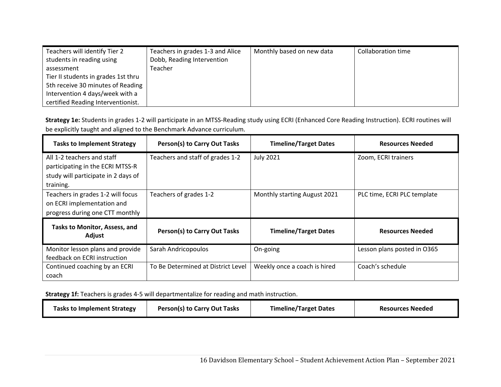| Teachers will identify Tier 2<br>students in reading using | Teachers in grades 1-3 and Alice<br>Dobb, Reading Intervention | Monthly based on new data | Collaboration time |
|------------------------------------------------------------|----------------------------------------------------------------|---------------------------|--------------------|
| assessment                                                 | Teacher                                                        |                           |                    |
| Tier II students in grades 1st thru                        |                                                                |                           |                    |
| 5th receive 30 minutes of Reading                          |                                                                |                           |                    |
| Intervention 4 days/week with a                            |                                                                |                           |                    |
| certified Reading Interventionist.                         |                                                                |                           |                    |

**Strategy 1e:** Students in grades 1‐2 will participate in an MTSS‐Reading study using ECRI (Enhanced Core Reading Instruction). ECRI routines will be explicitly taught and aligned to the Benchmark Advance curriculum.

| <b>Tasks to Implement Strategy</b>                                                                 | Person(s) to Carry Out Tasks       | <b>Timeline/Target Dates</b> | <b>Resources Needed</b>     |
|----------------------------------------------------------------------------------------------------|------------------------------------|------------------------------|-----------------------------|
| All 1-2 teachers and staff<br>participating in the ECRI MTSS-R                                     | Teachers and staff of grades 1-2   | <b>July 2021</b>             | Zoom, ECRI trainers         |
| study will participate in 2 days of<br>training.                                                   |                                    |                              |                             |
| Teachers in grades 1-2 will focus<br>on ECRI implementation and<br>progress during one CTT monthly | Teachers of grades 1-2             | Monthly starting August 2021 | PLC time, ECRI PLC template |
| Tasks to Monitor, Assess, and<br>Adjust                                                            | Person(s) to Carry Out Tasks       | <b>Timeline/Target Dates</b> | <b>Resources Needed</b>     |
| Monitor lesson plans and provide<br>feedback on ECRI instruction                                   | Sarah Andricopoulos                | On-going                     | Lesson plans posted in O365 |
| Continued coaching by an ECRI<br>coach                                                             | To Be Determined at District Level | Weekly once a coach is hired | Coach's schedule            |

**Strategy 1f:** Teachers is grades 4‐5 will departmentalize for reading and math instruction.

| <b>Tasks to Implement Strategy</b> | Person(s) to Carry Out Tasks | <b>Timeline/Target Dates</b><br><b>Resources Needed</b> |  |
|------------------------------------|------------------------------|---------------------------------------------------------|--|
|------------------------------------|------------------------------|---------------------------------------------------------|--|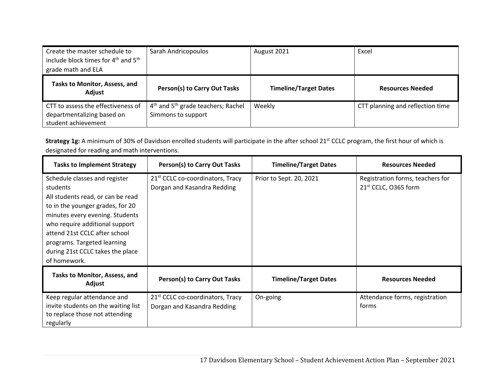| Create the master schedule to<br>include block times for 4 <sup>th</sup> and 5 <sup>th</sup><br>grade math and ELA | Sarah Andricopoulos                                                              | August 2021                  | Excel                            |
|--------------------------------------------------------------------------------------------------------------------|----------------------------------------------------------------------------------|------------------------------|----------------------------------|
| Tasks to Monitor, Assess, and<br>Adjust                                                                            | Person(s) to Carry Out Tasks                                                     | <b>Timeline/Target Dates</b> | <b>Resources Needed</b>          |
| CTT to assess the effectiveness of<br>departmentalizing based on<br>student achievement                            | 4 <sup>th</sup> and 5 <sup>th</sup> grade teachers; Rachel<br>Simmons to support | Weekly                       | CTT planning and reflection time |

Strategy 1g: A minimum of 30% of Davidson enrolled students will participate in the after school 21<sup>st</sup> CCLC program, the first hour of which is designated for reading and math interventions.

| <b>Tasks to Implement Strategy</b>                                                 | Person(s) to Carry Out Tasks                 | <b>Timeline/Target Dates</b> | <b>Resources Needed</b>          |
|------------------------------------------------------------------------------------|----------------------------------------------|------------------------------|----------------------------------|
| Schedule classes and register                                                      | 21 <sup>st</sup> CCLC co-coordinators, Tracy | Prior to Sept. 20, 2021      | Registration forms, teachers for |
| students                                                                           | Dorgan and Kasandra Redding                  |                              | 21 <sup>st</sup> CCLC, O365 form |
| All students read, or can be read                                                  |                                              |                              |                                  |
| to in the younger grades, for 20                                                   |                                              |                              |                                  |
| minutes every evening. Students                                                    |                                              |                              |                                  |
| who require additional support                                                     |                                              |                              |                                  |
| attend 21st CCLC after school                                                      |                                              |                              |                                  |
| programs. Targeted learning                                                        |                                              |                              |                                  |
| during 21st CCLC takes the place                                                   |                                              |                              |                                  |
| of homework.                                                                       |                                              |                              |                                  |
| <b>Tasks to Monitor, Assess, and</b><br>Adjust                                     | Person(s) to Carry Out Tasks                 | <b>Timeline/Target Dates</b> | <b>Resources Needed</b>          |
| Keep regular attendance and                                                        | 21 <sup>st</sup> CCLC co-coordinators, Tracy | On-going                     | Attendance forms, registration   |
| invite students on the waiting list<br>to replace those not attending<br>regularly | Dorgan and Kasandra Redding                  |                              | forms                            |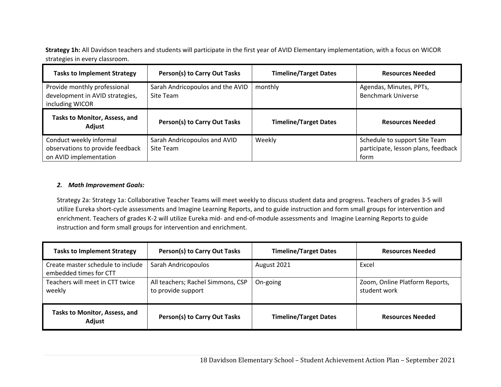**Strategy 1h:** All Davidson teachers and students will participate in the first year of AVID Elementary implementation, with a focus on WICOR strategies in every classroom.

| <b>Tasks to Implement Strategy</b>                                                    | Person(s) to Carry Out Tasks                  | <b>Timeline/Target Dates</b> | <b>Resources Needed</b>                                                      |
|---------------------------------------------------------------------------------------|-----------------------------------------------|------------------------------|------------------------------------------------------------------------------|
| Provide monthly professional<br>development in AVID strategies,<br>including WICOR    | Sarah Andricopoulos and the AVID<br>Site Team | monthly                      | Agendas, Minutes, PPTs,<br><b>Benchmark Universe</b>                         |
| Tasks to Monitor, Assess, and<br>Adjust                                               | Person(s) to Carry Out Tasks                  | <b>Timeline/Target Dates</b> | <b>Resources Needed</b>                                                      |
| Conduct weekly informal<br>observations to provide feedback<br>on AVID implementation | Sarah Andricopoulos and AVID<br>Site Team     | Weekly                       | Schedule to support Site Team<br>participate, lesson plans, feedback<br>form |

# *2. Math Improvement Goals:*

Strategy 2a: Strategy 1a: Collaborative Teacher Teams will meet weekly to discuss student data and progress. Teachers of grades 3‐5 will utilize Eureka short‐cycle assessments and Imagine Learning Reports, and to guide instruction and form small groups for intervention and enrichment. Teachers of grades K‐2 will utilize Eureka mid‐ and end‐of‐module assessments and Imagine Learning Reports to guide instruction and form small groups for intervention and enrichment.

| <b>Tasks to Implement Strategy</b>                          | Person(s) to Carry Out Tasks                            | <b>Timeline/Target Dates</b> | <b>Resources Needed</b>                        |
|-------------------------------------------------------------|---------------------------------------------------------|------------------------------|------------------------------------------------|
| Create master schedule to include<br>embedded times for CTT | Sarah Andricopoulos                                     | August 2021                  | Excel                                          |
| Teachers will meet in CTT twice<br>weekly                   | All teachers; Rachel Simmons, CSP<br>to provide support | On-going                     | Zoom, Online Platform Reports,<br>student work |
| <b>Tasks to Monitor, Assess, and</b><br>Adjust              | Person(s) to Carry Out Tasks                            | <b>Timeline/Target Dates</b> | <b>Resources Needed</b>                        |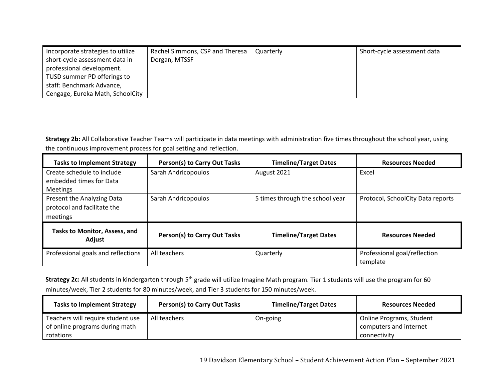| Incorporate strategies to utilize | Rachel Simmons, CSP and Theresa | Quarterly | Short-cycle assessment data |
|-----------------------------------|---------------------------------|-----------|-----------------------------|
| short-cycle assessment data in    | Dorgan, MTSSF                   |           |                             |
| professional development.         |                                 |           |                             |
| TUSD summer PD offerings to       |                                 |           |                             |
| staff: Benchmark Advance,         |                                 |           |                             |
| Cengage, Eureka Math, SchoolCity  |                                 |           |                             |

**Strategy 2b:** All Collaborative Teacher Teams will participate in data meetings with administration five times throughout the school year, using the continuous improvement process for goal setting and reflection.

| <b>Tasks to Implement Strategy</b>                                       | Person(s) to Carry Out Tasks | <b>Timeline/Target Dates</b>    | <b>Resources Needed</b>                  |
|--------------------------------------------------------------------------|------------------------------|---------------------------------|------------------------------------------|
| Create schedule to include<br>embedded times for Data<br><b>Meetings</b> | Sarah Andricopoulos          | August 2021                     | Excel                                    |
| Present the Analyzing Data<br>protocol and facilitate the<br>meetings    | Sarah Andricopoulos          | 5 times through the school year | Protocol, SchoolCity Data reports        |
| <b>Tasks to Monitor, Assess, and</b><br>Adjust                           | Person(s) to Carry Out Tasks | <b>Timeline/Target Dates</b>    | <b>Resources Needed</b>                  |
| Professional goals and reflections                                       | All teachers                 | Quarterly                       | Professional goal/reflection<br>template |

Strategy 2c: All students in kindergarten through 5<sup>th</sup> grade will utilize Imagine Math program. Tier 1 students will use the program for 60 minutes/week, Tier 2 students for 80 minutes/week, and Tier 3 students for 150 minutes/week.

| <b>Tasks to Implement Strategy</b>                                               | Person(s) to Carry Out Tasks | <b>Timeline/Target Dates</b> | <b>Resources Needed</b>                                            |
|----------------------------------------------------------------------------------|------------------------------|------------------------------|--------------------------------------------------------------------|
| Teachers will require student use<br>of online programs during math<br>rotations | All teachers                 | On-going                     | Online Programs, Student<br>computers and internet<br>connectivity |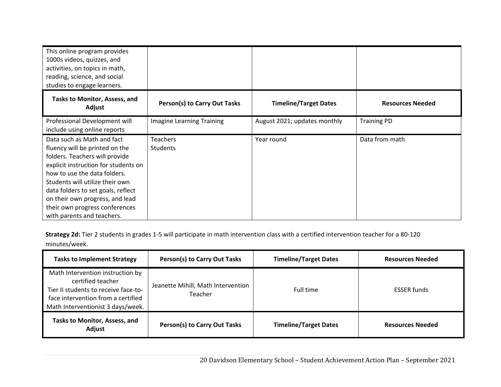| This online program provides<br>1000s videos, quizzes, and<br>activities, on topics in math,<br>reading, science, and social<br>studies to engage learners.                                                                                                                                                                                        |                                    |                              |                         |
|----------------------------------------------------------------------------------------------------------------------------------------------------------------------------------------------------------------------------------------------------------------------------------------------------------------------------------------------------|------------------------------------|------------------------------|-------------------------|
| <b>Tasks to Monitor, Assess, and</b><br>Adjust                                                                                                                                                                                                                                                                                                     | Person(s) to Carry Out Tasks       | <b>Timeline/Target Dates</b> | <b>Resources Needed</b> |
| Professional Development will<br>include using online reports                                                                                                                                                                                                                                                                                      | Imagine Learning Training          | August 2021; updates monthly | <b>Training PD</b>      |
| Data such as Math and fact<br>fluency will be printed on the<br>folders. Teachers will provide<br>explicit instruction for students on<br>how to use the data folders.<br>Students will utilize their own<br>data folders to set goals, reflect<br>on their own progress, and lead<br>their own progress conferences<br>with parents and teachers. | <b>Teachers</b><br><b>Students</b> | Year round                   | Data from math          |

**Strategy 2d:** Tier 2 students in grades 1‐5 will participate in math intervention class with a certified intervention teacher for a 80‐120 minutes/week.

 $\overline{a}$ 

| <b>Tasks to Implement Strategy</b>                                                                                                                                       | Person(s) to Carry Out Tasks                  | <b>Timeline/Target Dates</b> | <b>Resources Needed</b> |
|--------------------------------------------------------------------------------------------------------------------------------------------------------------------------|-----------------------------------------------|------------------------------|-------------------------|
| Math Intervention instruction by<br>certified teacher<br>Tier II students to receive face-to-<br>face intervention from a certified<br>Math Interventionist 3 days/week. | Jeanette Mihill, Math Intervention<br>Teacher | Full time                    | <b>ESSER funds</b>      |
| <b>Tasks to Monitor, Assess, and</b><br>Adjust                                                                                                                           | Person(s) to Carry Out Tasks                  | <b>Timeline/Target Dates</b> | <b>Resources Needed</b> |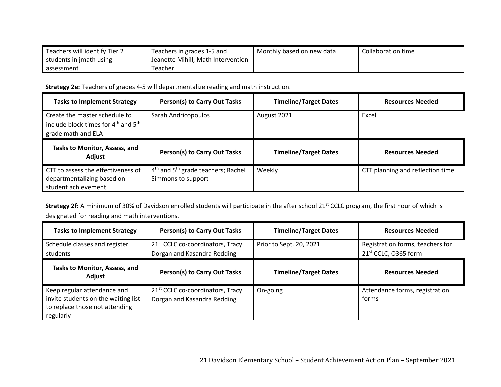| Teachers will identify Tier 2 | Teachers in grades 1-5 and         | Monthly based on new data | Collaboration time |
|-------------------------------|------------------------------------|---------------------------|--------------------|
| students in jmath using       | Jeanette Mihill, Math Intervention |                           |                    |
| assessment                    | Teacher                            |                           |                    |

**Strategy 2e:** Teachers of grades 4‐5 will departmentalize reading and math instruction.

| <b>Tasks to Implement Strategy</b>                                                                                 | <b>Person(s) to Carry Out Tasks</b>                                              | <b>Timeline/Target Dates</b> | <b>Resources Needed</b>          |
|--------------------------------------------------------------------------------------------------------------------|----------------------------------------------------------------------------------|------------------------------|----------------------------------|
| Create the master schedule to<br>include block times for 4 <sup>th</sup> and 5 <sup>th</sup><br>grade math and ELA | Sarah Andricopoulos                                                              | August 2021                  | Excel                            |
| Tasks to Monitor, Assess, and<br>Adjust                                                                            | <b>Person(s) to Carry Out Tasks</b>                                              | <b>Timeline/Target Dates</b> | <b>Resources Needed</b>          |
| CTT to assess the effectiveness of<br>departmentalizing based on                                                   | 4 <sup>th</sup> and 5 <sup>th</sup> grade teachers; Rachel<br>Simmons to support | Weekly                       | CTT planning and reflection time |

Strategy 2f: A minimum of 30% of Davidson enrolled students will participate in the after school 21<sup>st</sup> CCLC program, the first hour of which is designated for reading and math interventions.

| <b>Tasks to Implement Strategy</b>                                                                                | Person(s) to Carry Out Tasks                                                | <b>Timeline/Target Dates</b> | <b>Resources Needed</b>                                              |
|-------------------------------------------------------------------------------------------------------------------|-----------------------------------------------------------------------------|------------------------------|----------------------------------------------------------------------|
| Schedule classes and register<br>students                                                                         | 21 <sup>st</sup> CCLC co-coordinators, Tracy<br>Dorgan and Kasandra Redding | Prior to Sept. 20, 2021      | Registration forms, teachers for<br>21 <sup>st</sup> CCLC, O365 form |
| <b>Tasks to Monitor, Assess, and</b><br>Adjust                                                                    | <b>Person(s) to Carry Out Tasks</b>                                         | <b>Timeline/Target Dates</b> | <b>Resources Needed</b>                                              |
| Keep regular attendance and<br>invite students on the waiting list<br>to replace those not attending<br>regularly | 21 <sup>st</sup> CCLC co-coordinators, Tracy<br>Dorgan and Kasandra Redding | On-going                     | Attendance forms, registration<br>forms                              |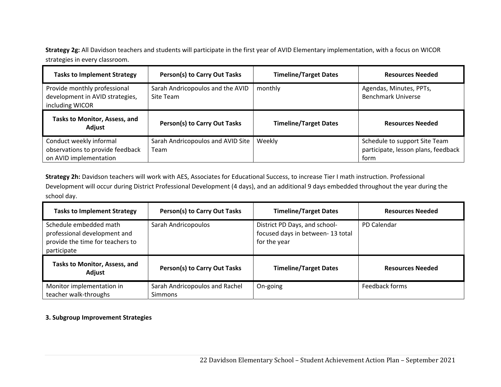**Strategy 2g:** All Davidson teachers and students will participate in the first year of AVID Elementary implementation, with a focus on WICOR strategies in every classroom.

| <b>Tasks to Implement Strategy</b>                                                    | Person(s) to Carry Out Tasks                  | <b>Timeline/Target Dates</b> | <b>Resources Needed</b>                                                      |
|---------------------------------------------------------------------------------------|-----------------------------------------------|------------------------------|------------------------------------------------------------------------------|
| Provide monthly professional<br>development in AVID strategies,<br>including WICOR    | Sarah Andricopoulos and the AVID<br>Site Team | monthly                      | Agendas, Minutes, PPTs,<br><b>Benchmark Universe</b>                         |
| <b>Tasks to Monitor, Assess, and</b><br>Adjust                                        | Person(s) to Carry Out Tasks                  | <b>Timeline/Target Dates</b> | <b>Resources Needed</b>                                                      |
| Conduct weekly informal<br>observations to provide feedback<br>on AVID implementation | Sarah Andricopoulos and AVID Site<br>Team     | Weekly                       | Schedule to support Site Team<br>participate, lesson plans, feedback<br>form |

**Strategy 2h:** Davidson teachers will work with AES, Associates for Educational Success, to increase Tier I math instruction. Professional Development will occur during District Professional Development (4 days), and an additional 9 days embedded throughout the year during the school day.

| <b>Tasks to Implement Strategy</b>                                                                        | Person(s) to Carry Out Tasks                     | <b>Timeline/Target Dates</b>                                                      | <b>Resources Needed</b> |
|-----------------------------------------------------------------------------------------------------------|--------------------------------------------------|-----------------------------------------------------------------------------------|-------------------------|
| Schedule embedded math<br>professional development and<br>provide the time for teachers to<br>participate | Sarah Andricopoulos                              | District PD Days, and school-<br>focused days in between-13 total<br>for the year | PD Calendar             |
| Tasks to Monitor, Assess, and<br>Adjust                                                                   | Person(s) to Carry Out Tasks                     | <b>Timeline/Target Dates</b>                                                      | <b>Resources Needed</b> |
| Monitor implementation in<br>teacher walk-throughs                                                        | Sarah Andricopoulos and Rachel<br><b>Simmons</b> | On-going                                                                          | Feedback forms          |

# **3. Subgroup Improvement Strategies**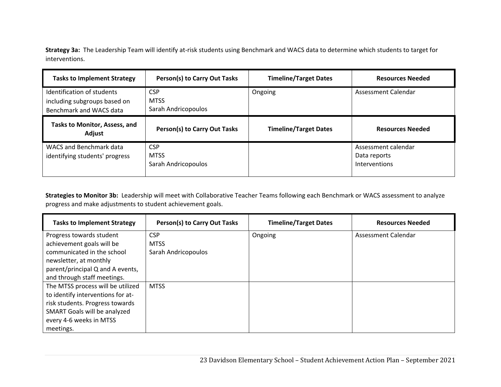**Strategy 3a:** The Leadership Team will identify at‐risk students using Benchmark and WACS data to determine which students to target for interventions.

| <b>Tasks to Implement Strategy</b>                                                    | Person(s) to Carry Out Tasks                     | <b>Timeline/Target Dates</b> | <b>Resources Needed</b>                              |
|---------------------------------------------------------------------------------------|--------------------------------------------------|------------------------------|------------------------------------------------------|
| Identification of students<br>including subgroups based on<br>Benchmark and WACS data | <b>CSP</b><br><b>MTSS</b><br>Sarah Andricopoulos | Ongoing                      | Assessment Calendar                                  |
| Tasks to Monitor, Assess, and<br>Adjust                                               | Person(s) to Carry Out Tasks                     | <b>Timeline/Target Dates</b> | <b>Resources Needed</b>                              |
| <b>WACS and Benchmark data</b><br>identifying students' progress                      | <b>CSP</b><br><b>MTSS</b><br>Sarah Andricopoulos |                              | Assessment calendar<br>Data reports<br>Interventions |

**Strategies to Monitor 3b:** Leadership will meet with Collaborative Teacher Teams following each Benchmark or WACS assessment to analyze progress and make adjustments to student achievement goals.

| <b>Tasks to Implement Strategy</b> | Person(s) to Carry Out Tasks | <b>Timeline/Target Dates</b> | <b>Resources Needed</b> |
|------------------------------------|------------------------------|------------------------------|-------------------------|
| Progress towards student           | <b>CSP</b>                   | Ongoing                      | Assessment Calendar     |
| achievement goals will be          | <b>MTSS</b>                  |                              |                         |
| communicated in the school         | Sarah Andricopoulos          |                              |                         |
| newsletter, at monthly             |                              |                              |                         |
| parent/principal Q and A events,   |                              |                              |                         |
| and through staff meetings.        |                              |                              |                         |
| The MTSS process will be utilized  | <b>MTSS</b>                  |                              |                         |
| to identify interventions for at-  |                              |                              |                         |
| risk students. Progress towards    |                              |                              |                         |
| SMART Goals will be analyzed       |                              |                              |                         |
| every 4-6 weeks in MTSS            |                              |                              |                         |
| meetings.                          |                              |                              |                         |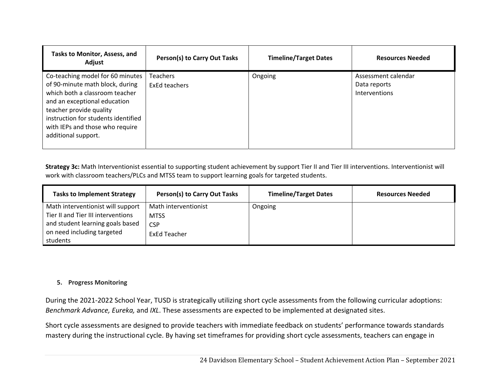| <b>Tasks to Monitor, Assess, and</b><br>Adjust                                                                                                                                                                                                                    | Person(s) to Carry Out Tasks | <b>Timeline/Target Dates</b> | <b>Resources Needed</b>                                     |
|-------------------------------------------------------------------------------------------------------------------------------------------------------------------------------------------------------------------------------------------------------------------|------------------------------|------------------------------|-------------------------------------------------------------|
| Co-teaching model for 60 minutes<br>of 90-minute math block, during<br>which both a classroom teacher<br>and an exceptional education<br>teacher provide quality<br>instruction for students identified<br>with IEPs and those who require<br>additional support. | Teachers<br>ExEd teachers    | Ongoing                      | Assessment calendar<br>Data reports<br><b>Interventions</b> |

**Strategy 3c:** Math Interventionist essential to supporting student achievement by support Tier II and Tier III interventions. Interventionist will work with classroom teachers/PLCs and MTSS team to support learning goals for targeted students.

| <b>Tasks to Implement Strategy</b> | Person(s) to Carry Out Tasks | <b>Timeline/Target Dates</b> | <b>Resources Needed</b> |
|------------------------------------|------------------------------|------------------------------|-------------------------|
| Math interventionist will support  | Math interventionist         | Ongoing                      |                         |
| Tier II and Tier III interventions | <b>MTSS</b>                  |                              |                         |
| and student learning goals based   | <b>CSP</b>                   |                              |                         |
| on need including targeted         | ExEd Teacher                 |                              |                         |
| students                           |                              |                              |                         |

# **5. Progress Monitoring**

During the 2021‐2022 School Year, TUSD is strategically utilizing short cycle assessments from the following curricular adoptions: *Benchmark Advance, Eureka,* and *IXL*. These assessments are expected to be implemented at designated sites.

Short cycle assessments are designed to provide teachers with immediate feedback on students' performance towards standards mastery during the instructional cycle. By having set timeframes for providing short cycle assessments, teachers can engage in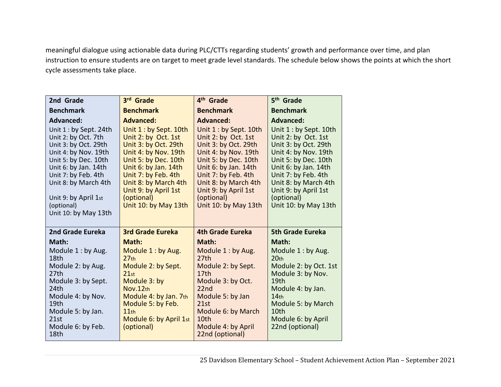meaningful dialogue using actionable data during PLC/CTTs regarding students' growth and performance over time, and plan instruction to ensure students are on target to meet grade level standards. The schedule below shows the points at which the short cycle assessments take place.

| 2nd Grade                                   | 3rd Grade                                   | 4 <sup>th</sup> Grade                       | 5 <sup>th</sup> Grade                       |
|---------------------------------------------|---------------------------------------------|---------------------------------------------|---------------------------------------------|
| <b>Benchmark</b>                            | <b>Benchmark</b>                            | <b>Benchmark</b>                            | <b>Benchmark</b>                            |
| <b>Advanced:</b>                            | <b>Advanced:</b>                            | <b>Advanced:</b>                            | <b>Advanced:</b>                            |
| Unit 1 : by Sept. 24th                      | Unit 1 : by Sept. 10th                      | Unit 1 : by Sept. 10th                      | Unit 1 : by Sept. 10th                      |
| Unit 2: by Oct. 7th<br>Unit 3: by Oct. 29th | Unit 2: by Oct. 1st<br>Unit 3: by Oct. 29th | Unit 2: by Oct. 1st<br>Unit 3: by Oct. 29th | Unit 2: by Oct. 1st<br>Unit 3: by Oct. 29th |
| Unit 4: by Nov. 19th                        | Unit 4: by Nov. 19th                        | Unit 4: by Nov. 19th                        | Unit 4: by Nov. 19th                        |
| Unit 5: by Dec. 10th                        | Unit 5: by Dec. 10th                        | Unit 5: by Dec. 10th                        | Unit 5: by Dec. 10th                        |
| Unit 6: by Jan. 14th                        | Unit 6: by Jan. 14th                        | Unit 6: by Jan. 14th                        | Unit 6: by Jan. 14th                        |
| Unit 7: by Feb. 4th<br>Unit 8: by March 4th | Unit 7: by Feb. 4th<br>Unit 8: by March 4th | Unit 7: by Feb. 4th<br>Unit 8: by March 4th | Unit 7: by Feb. 4th<br>Unit 8: by March 4th |
|                                             | Unit 9: by April 1st                        | Unit 9: by April 1st                        | Unit 9: by April 1st                        |
| Unit 9: by April 1st                        | (optional)                                  | (optional)                                  | (optional)                                  |
| (optional)                                  | Unit 10: by May 13th                        | Unit 10: by May 13th                        | Unit 10: by May 13th                        |
| Unit 10: by May 13th                        |                                             |                                             |                                             |
| 2nd Grade Eureka                            | <b>3rd Grade Eureka</b>                     | <b>4th Grade Eureka</b>                     | <b>5th Grade Eureka</b>                     |
| Math:                                       | Math:                                       | Math:                                       | Math:                                       |
| Module 1 : by Aug.                          | Module 1: by Aug.                           | Module 1: by Aug.                           | Module 1: by Aug.                           |
| 18th                                        | 27 <sub>th</sub>                            | 27th                                        | 20 <sub>th</sub>                            |
| Module 2: by Aug.<br>27th                   | Module 2: by Sept.<br>21st                  | Module 2: by Sept.<br>17 <sub>th</sub>      | Module 2: by Oct. 1st<br>Module 3: by Nov.  |
| Module 3: by Sept.                          | Module 3: by                                | Module 3: by Oct.                           | 19th                                        |
| 24th                                        | Nov.12th                                    | 22 <sub>nd</sub>                            | Module 4: by Jan.                           |
| Module 4: by Nov.<br>19th                   | Module 4: by Jan. 7th<br>Module 5: by Feb.  | Module 5: by Jan<br>21st                    | 14 <sub>th</sub><br>Module 5: by March      |
| Module 5: by Jan.                           | 11th                                        | Module 6: by March                          | 10th                                        |
| 21st                                        | Module 6: by April 1st                      | 10th                                        | Module 6: by April                          |
| Module 6: by Feb.<br>18th                   | (optional)                                  | Module 4: by April                          | 22nd (optional)                             |
|                                             |                                             | 22nd (optional)                             |                                             |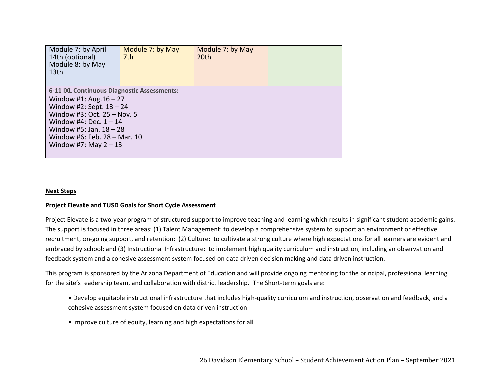| Module 7: by April<br>14th (optional)<br>Module 8: by May<br>13 <sub>th</sub>                                                                                                                                                                             | Module 7: by May<br>7th | Module 7: by May<br>20 <sup>th</sup> |  |
|-----------------------------------------------------------------------------------------------------------------------------------------------------------------------------------------------------------------------------------------------------------|-------------------------|--------------------------------------|--|
| 6-11 IXL Continuous Diagnostic Assessments:<br>Window #1: Aug. $16 - 27$<br>Window #2: Sept. 13 - 24<br>Window #3: Oct. $25 -$ Nov. 5<br>Window #4: Dec. $1 - 14$<br>Window #5: Jan. $18 - 28$<br>Window #6: Feb. 28 - Mar. 10<br>Window #7: May $2 - 13$ |                         |                                      |  |

### **Next Steps**

### **Project Elevate and TUSD Goals for Short Cycle Assessment**

Project Elevate is a two-year program of structured support to improve teaching and learning which results in significant student academic gains. The support is focused in three areas: (1) Talent Management: to develop a comprehensive system to support an environment or effective recruitment, on‐going support, and retention; (2) Culture: to cultivate a strong culture where high expectations for all learners are evident and embraced by school; and (3) Instructional Infrastructure: to implement high quality curriculum and instruction, including an observation and feedback system and a cohesive assessment system focused on data driven decision making and data driven instruction.

This program is sponsored by the Arizona Department of Education and will provide ongoing mentoring for the principal, professional learning for the site's leadership team, and collaboration with district leadership. The Short-term goals are:

- Develop equitable instructional infrastructure that includes high‐quality curriculum and instruction, observation and feedback, and a cohesive assessment system focused on data driven instruction
- Improve culture of equity, learning and high expectations for all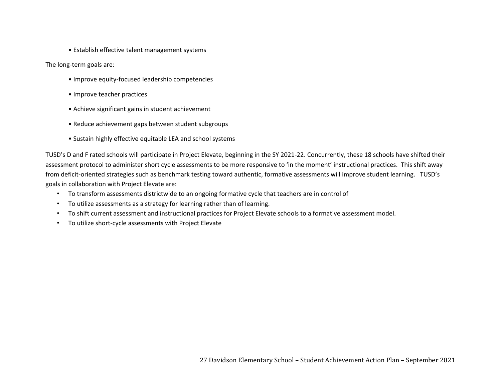• Establish effective talent management systems

The long‐term goals are:

- Improve equity‐focused leadership competencies
- Improve teacher practices
- Achieve significant gains in student achievement
- Reduce achievement gaps between student subgroups
- Sustain highly effective equitable LEA and school systems

TUSD's D and F rated schools will participate in Project Elevate, beginning in the SY 2021-22. Concurrently, these 18 schools have shifted their assessment protocol to administer short cycle assessments to be more responsive to 'in the moment' instructional practices. This shift away from deficit-oriented strategies such as benchmark testing toward authentic, formative assessments will improve student learning. TUSD's goals in collaboration with Project Elevate are:

- To transform assessments districtwide to an ongoing formative cycle that teachers are in control of
- To utilize assessments as a strategy for learning rather than of learning.
- To shift current assessment and instructional practices for Project Elevate schools to a formative assessment model.
- To utilize short‐cycle assessments with Project Elevate